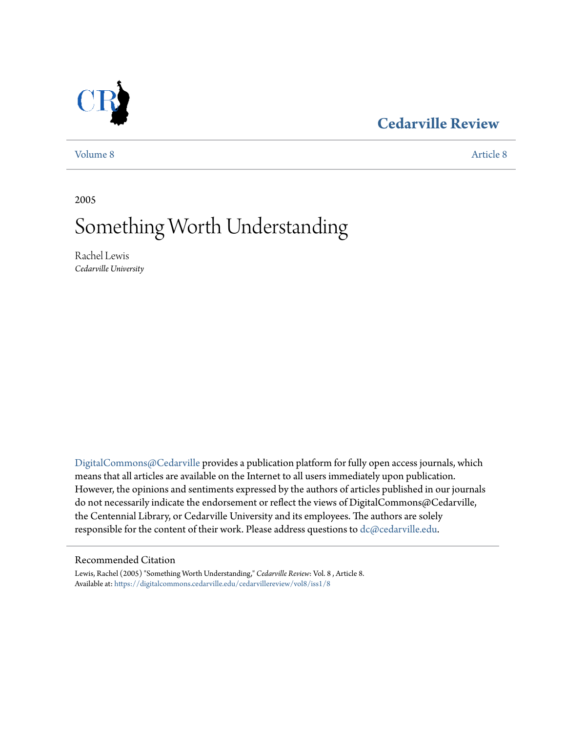### **[Cedarville Review](https://digitalcommons.cedarville.edu/cedarvillereview?utm_source=digitalcommons.cedarville.edu%2Fcedarvillereview%2Fvol8%2Fiss1%2F8&utm_medium=PDF&utm_campaign=PDFCoverPages)**

[Volume 8](https://digitalcommons.cedarville.edu/cedarvillereview/vol8?utm_source=digitalcommons.cedarville.edu%2Fcedarvillereview%2Fvol8%2Fiss1%2F8&utm_medium=PDF&utm_campaign=PDFCoverPages) [Article 8](https://digitalcommons.cedarville.edu/cedarvillereview/vol8/iss1/8?utm_source=digitalcommons.cedarville.edu%2Fcedarvillereview%2Fvol8%2Fiss1%2F8&utm_medium=PDF&utm_campaign=PDFCoverPages)

2005

## Something Worth Understanding

Rachel Lewis *Cedarville University*

[DigitalCommons@Cedarville](http://digitalcommons.cedarville.edu) provides a publication platform for fully open access journals, which means that all articles are available on the Internet to all users immediately upon publication. However, the opinions and sentiments expressed by the authors of articles published in our journals do not necessarily indicate the endorsement or reflect the views of DigitalCommons@Cedarville, the Centennial Library, or Cedarville University and its employees. The authors are solely responsible for the content of their work. Please address questions to [dc@cedarville.edu](mailto:dc@cedarville.edu).

#### Recommended Citation

Lewis, Rachel (2005) "Something Worth Understanding," *Cedarville Review*: Vol. 8 , Article 8. Available at: [https://digitalcommons.cedarville.edu/cedarvillereview/vol8/iss1/8](https://digitalcommons.cedarville.edu/cedarvillereview/vol8/iss1/8?utm_source=digitalcommons.cedarville.edu%2Fcedarvillereview%2Fvol8%2Fiss1%2F8&utm_medium=PDF&utm_campaign=PDFCoverPages)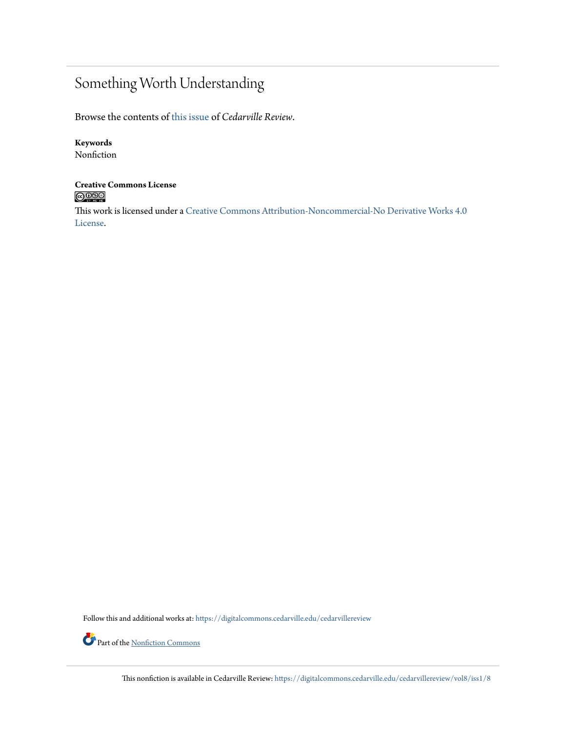## Something Worth Understanding

Browse the contents of [this issue](https://digitalcommons.cedarville.edu/cedarvillereview/vol8/iss1) of *Cedarville Review*.

### **Keywords**

Nonfiction

## **Creative Commons License**<br> **C** 000

This work is licensed under a [Creative Commons Attribution-Noncommercial-No Derivative Works 4.0](http://creativecommons.org/licenses/by-nc-nd/4.0/) [License.](http://creativecommons.org/licenses/by-nc-nd/4.0/)

Follow this and additional works at: [https://digitalcommons.cedarville.edu/cedarvillereview](https://digitalcommons.cedarville.edu/cedarvillereview?utm_source=digitalcommons.cedarville.edu%2Fcedarvillereview%2Fvol8%2Fiss1%2F8&utm_medium=PDF&utm_campaign=PDFCoverPages)

Part of the <u>[Nonfiction Commons](http://network.bepress.com/hgg/discipline/1152?utm_source=digitalcommons.cedarville.edu%2Fcedarvillereview%2Fvol8%2Fiss1%2F8&utm_medium=PDF&utm_campaign=PDFCoverPages)</u>

This nonfiction is available in Cedarville Review: [https://digitalcommons.cedarville.edu/cedarvillereview/vol8/iss1/8](https://digitalcommons.cedarville.edu/cedarvillereview/vol8/iss1/8?utm_source=digitalcommons.cedarville.edu%2Fcedarvillereview%2Fvol8%2Fiss1%2F8&utm_medium=PDF&utm_campaign=PDFCoverPages)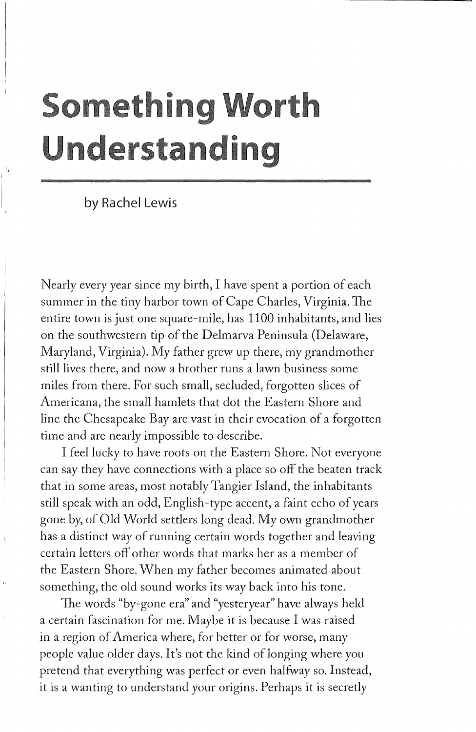# **Something Worth** Understanding

by Rachel Lewis

Nearly every year since my birth, I have spent a portion of each summer in the tiny harbor town of Cape Charles, Virginia. The entire town is just one square-mile, has 1100 inhabitants, and lies on the southwestern tip of the Delmarva Peninsula (Delaware, Maryland, Virginia). My father grew up there, my grandmother still lives there, and now a brother runs a lawn business some miles from there. For such small, secluded, forgotten slices of Americana, the small hamlets that dot the Eastern Shore and line the Chesapeake Bay are vast in their evocation of a forgotten time and are nearly impossible to describe.

I feel lucky to have roots on the Eastern Shore. Not everyone can say they have connections with a place so off the beaten track that in some areas, most notably Tangier Island, the inhabitants still speak with an odd, English-type accent, a faint echo of years gone by, of Old World settlers long dead. My own grandmother has a distinct way of running certain words together and leaving certain letters off other words that marks her as a member of the Eastern Shore. When my father becomes animated about something, the old sound works its way back into his tone.

The words "by-gone era" and "yesteryear" have always held a certain fascination for me. Maybe it is because I was raised in a region of America where, for better or for worse, many people value older days. It's not the kind of longing where you pretend that everything was perfect or even halfway so. Instead, it is a wanting to understand your origins. Perhaps it is secretly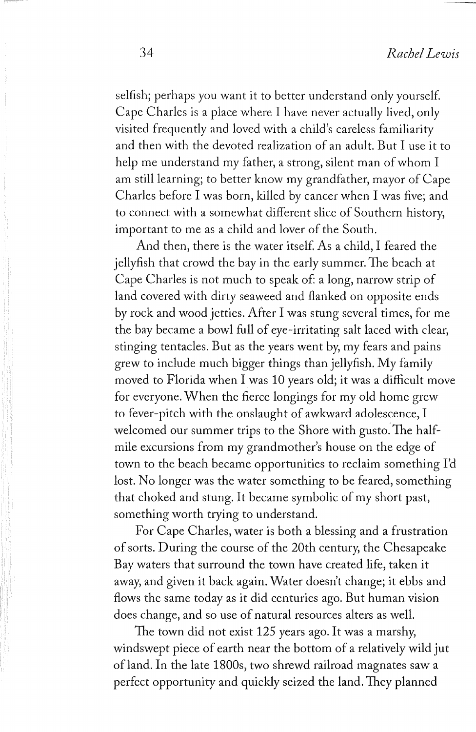selfish; perhaps you want it to better understand only yourself. Cape Charles is a place where I have never actually lived, only visited frequently and loved with a child's careless familiarity and then with the devoted realization of an adult. But I use it to help me understand my father, a strong, silent man of whom I am still learning; to better know my grandfather, mayor of Cape Charles before I was born, killed by cancer when I was five; and to connect with a somewhat different slice of Southern history, important to me as a child and lover of the South.

And then, there is the water itself. As a child, I feared the jellyfish that crowd the bay in the early summer. The beach at Cape Charles is not much to speak of: a long, narrow strip of land covered with dirty seaweed and flanked on opposite ends by rock and wood jetties. After I was stung several times, for me the bay became a bowl full of eye-irritating salt laced with clear, stinging tentacles. But as the years went by, my fears and pains grew to include much bigger things than jellyfish. My family moved to Florida when I was 10 years old; it was a difficult move for everyone. When the fierce longings for my old home grew to fever-pitch with the onslaught of awkward adolescence, I welcomed our summer trips to the Shore with gusto. The halfmile excursions from my grandmother's house on the edge of town to the beach became opportunities to reclaim something I'd lost. No longer was the water something to be feared, something that choked and stung. It became symbolic of my short past, something worth trying to understand.

For Cape Charles, water is both a blessing and a frustration of sorts. During the course of the 20th century, the Chesapeake Bay waters that surround the town have created life, taken it away, and given it back again. Water doesn't change; it ebbs and flows the same today as it did centuries ago. But human vision does change, and so use of natural resources alters as well.

The town did not exist 125 years ago. It was a marshy, windswept piece of earth near the bottom of a relatively wild jut ofland. In the late 1800s, two shrewd railroad magnates saw a perfect opportunity and quickly seized the land. They planned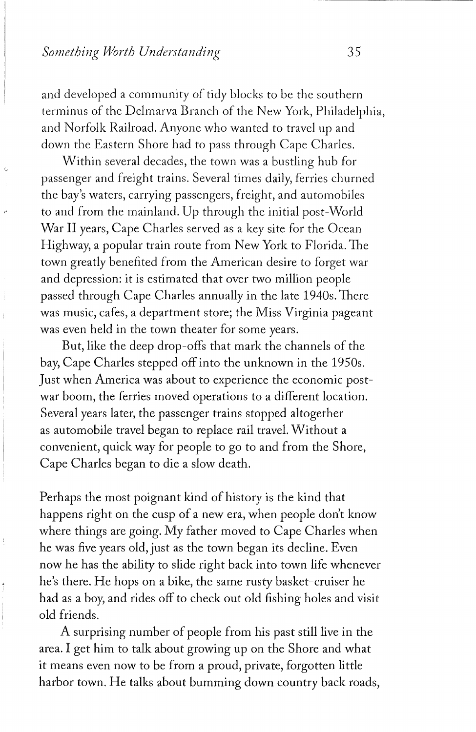and developed a community of tidy blocks to be the southern terminus of the Delmarva Branch of the New York, Philadelphia, and Norfolk Railroad. Anyone who wanted to travel up and down the Eastern Shore had to pass through Cape Charles.

Within several decades, the town was a bustling hub for passenger and freight trains. Several times daily, ferries churned the bay's waters, carrying passengers, freight, and automobiles to and from the mainland. Up through the initial post-World War II years, Cape Charles served as a key site for the Ocean Highway, a popular train route from New York to Florida. The town greatly benefited from the American desire to forget war and depression: it is estimated that over two million people passed through Cape Charles annually in the late 1940s. There was music, cafes, a department store; the Miss Virginia pageant was even held in the town theater for some years.

But, like the deep drop-offs that mark the channels of the bay, Cape Charles stepped off into the unknown in the *1950s.*  Just when America was about to experience the economic postwar boom, the ferries moved operations to a different location. Several years later, the passenger trains stopped altogether as automobile travel began to replace rail travel. Without a convenient, quick way for people to go to and from the Shore, Cape Charles began to die a slow death.

Perhaps the most poignant kind of history is the kind that happens right on the cusp of a new era, when people don't know where things are going. My father moved to Cape Charles when he was five years old, just as the town began its decline. Even now he has the ability to slide right back into town life whenever he's there. He hops on a bike, the same rusty basket-cruiser he had as a boy, and rides off to check out old fishing holes and visit old friends.

A surprising number of people from his past still live in the area. I get him to talk about growing up on the Shore and what it means even now to be from a proud, private, forgotten little harbor town. He talks about bumming down country back roads,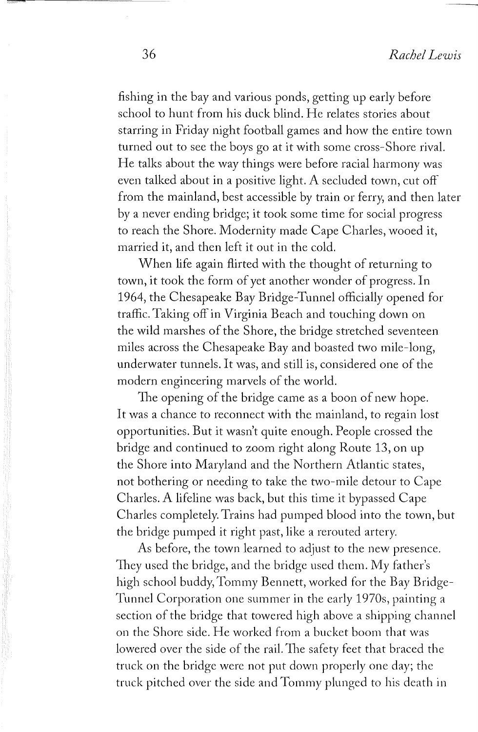fishing in the bay and various ponds, getting up early before school to hunt from his duck blind. He relates stories about starring in Friday night football games and how the entire town turned out to see the boys go at it with some cross-Shore rival. He talks about the way things were before racial harmony was even talked about in a positive light. A secluded town, cut off from the mainland, best accessible by train or ferry, and then later by a never ending bridge; it took some time for social progress to reach the Shore. Modernity made Cape Charles, wooed it, married it, and then left it out in the cold.

When life again flirted with the thought of returning to town, it took the form of yet another wonder of progress. In 1964, the Chesapeake Bay Bridge-Tunnel officially opened for traffic. Taking off in Virginia Beach and touching down on the wild marshes of the Shore, the bridge stretched seventeen miles across the Chesapeake Bay and boasted two mile-long, underwater tunnels. It was, and still is, considered one of the modern engineering marvels of the world.

The opening of the bridge came as a boon of new hope. It was a chance to reconnect with the mainland, to regain lost opportunities. But it wasn't quite enough. People crossed the bridge and continued to zoom right along Route 13, on up the Shore into Maryland and the Northern Atlantic states, not bothering or needing to take the two-mile detour to Cape Charles. A lifeline was back, but this time it bypassed Cape Charles completely. Trains had pumped blood into the town, but the bridge pumped it right past, like a rerouted artery.

As before, the town learned to adjust to the new presence. They used the bridge, and the bridge used them. My father's high school buddy, Tommy Bennett, worked for the Bay Bridge-Tunnel Corporation one summer in the early 1970s, painting a section of the bridge that towered high above a shipping channel on the Shore side. He worked from a bucket boom that was lowered over the side of the rail. The safety feet that braced the truck on the bridge were not put down properly one day; the truck pitched over the side and Tommy plunged to his death in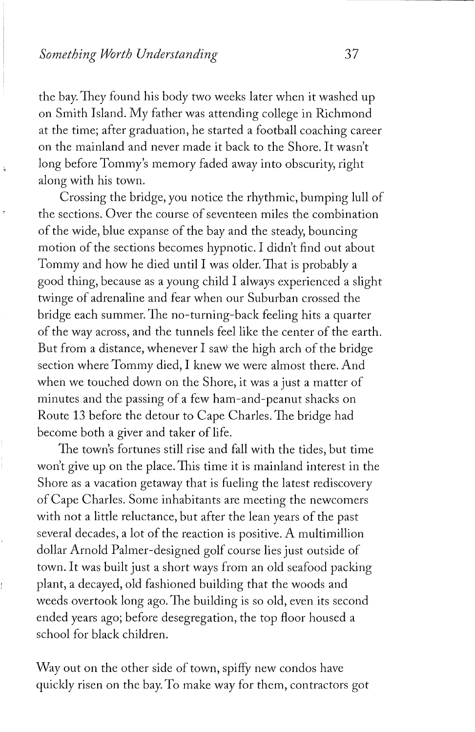the bay. They found his body two weeks later when it washed up on Smith Island. My father was attending college in Richmond at the time; after graduation, he started a football coaching career on the mainland and never made it back to the Shore. It wasn't long before Tommy's memory faded away into obscurity, right along with his town.

Crossing the bridge, you notice the rhythmic, bumping lull of the sections. Over the course of seventeen miles the combination of the wide, blue expanse of the bay and the steady, bouncing motion of the sections becomes hypnotic. I didn't find out about Tommy and how he died until I was older. That is probably a good thing, because as a young child I always experienced a slight twinge of adrenaline and fear when our Suburban crossed the bridge each summer. The no-turning-back feeling hits a quarter of the way across, and the tunnels feel like the center of the earth. But from a distance, whenever I saw the high arch of the bridge section where Tommy died, I knew we were almost there. And when we touched down on the Shore, it was a just a matter of minutes and the passing of a few ham-and-peanut shacks on Route 13 before the detour to Cape Charles. The bridge had become both a giver and taker of life.

The town's fortunes still rise and fall with the tides, but time won't give up on the place. This time it is mainland interest in the Shore as a vacation getaway that is fueling the latest rediscovery of Cape Charles. Some inhabitants are meeting the newcomers with not a little reluctance, but after the lean years of the past several decades, a lot of the reaction is positive. A multimillion dollar Arnold Palmer-designed golf course lies just outside of town. It was built just a short ways from an old seafood packing plant, a decayed, old fashioned building that the woods and weeds overtook long ago. The building is so old, even its second ended years ago; before desegregation, the top floor housed a school for black children.

Way out on the other side of town, spiffy new condos have quickly risen on the bay. To make way for them, contractors got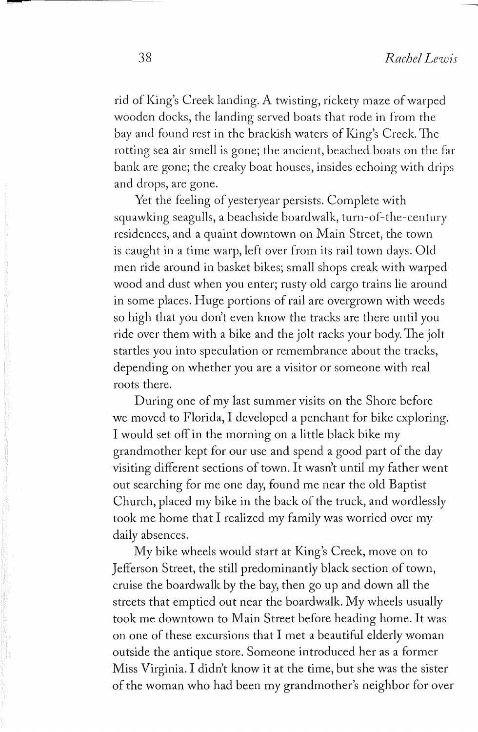rid of King's Creek landing. A twisting, rickety maze of warped wooden docks, the landing served boats that rode in from the bay and found rest in the brackish waters of King's Creek. The rotting sea air smell is gone; the ancient, beached boats on the far bank are gone; the creaky boat houses, insides echoing with drips and drops, are gone.

Yet the feeling of yesteryear persists. Complete with squawking seagulls, a beachside boardwalk, turn-of-the-century residences, and a quaint downtown on Main Street, the town is caught in a time warp, left over from its rail town days. Old men ride around in basket bikes; small shops creak with warped wood and dust when you enter; rusty old cargo trains lie around in some places. Huge portions of rail are overgrown with weeds so high that you don't even know the tracks are there until you ride over them with a bike and the jolt racks your body. The jolt startles you into speculation or remembrance about the tracks, depending on whether you are a visitor or someone with real roots there.

During one of my last summer visits on the Shore before we moved to Florida, I developed a penchant for bike exploring. I would set off in the morning on a little black bike my grandmother kept for our use and spend a good part of the day visiting different sections of town. It wasn't until my father went out searching for me one day, found me near the old Baptist Church, placed my bike in the back of the truck, and wordlessly took me home that I realized my family was worried over my daily absences.

My bike wheels would start at King's Creek, move on to Jefferson Street, the still predominantly black section of town, cruise the boardwalk by the bay, then go up and down all the streets that emptied out near the boardwalk. My wheels usually took me downtown to Main Street before heading home. It was on one of these excursions that I met a beautiful elderly woman outside the antique store. Someone introduced her as a former Miss Virginia. I didn't know it at the time, but she was the sister of the woman who had been my grandmother's neighbor for over